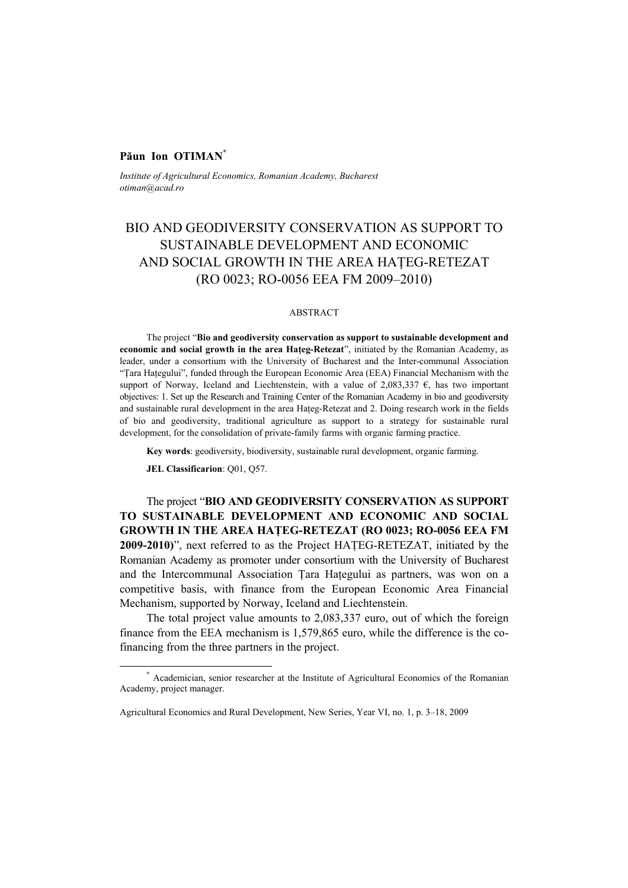## **Păun Ion OTIMAN\***

*Institute of Agricultural Economics, Romanian Academy, Bucharest otiman@acad.ro* 

## BIO AND GEODIVERSITY CONSERVATION AS SUPPORT TO SUSTAINABLE DEVELOPMENT AND ECONOMIC AND SOCIAL GROWTH IN THE AREA HATEG-RETEZAT (RO 0023; RO-0056 EEA FM 2009–2010)

## ABSTRACT

The project "**Bio and geodiversity conservation as support to sustainable development and economic and social growth in the area Haţeg-Retezat**", initiated by the Romanian Academy, as leader, under a consortium with the University of Bucharest and the Inter-communal Association "Ţara Haţegului", funded through the European Economic Area (EEA) Financial Mechanism with the support of Norway, Iceland and Liechtenstein, with a value of 2,083,337  $\epsilon$ , has two important objectives: 1. Set up the Research and Training Center of the Romanian Academy in bio and geodiversity and sustainable rural development in the area Haţeg-Retezat and 2. Doing research work in the fields of bio and geodiversity, traditional agriculture as support to a strategy for sustainable rural development, for the consolidation of private-family farms with organic farming practice.

**Key words**: geodiversity, biodiversity, sustainable rural development, organic farming.

**JEL Classificarion**: Q01, Q57.

The project "**BIO AND GEODIVERSITY CONSERVATION AS SUPPORT TO SUSTAINABLE DEVELOPMENT AND ECONOMIC AND SOCIAL GROWTH IN THE AREA HAŢEG-RETEZAT (RO 0023; RO-0056 EEA FM 2009-2010)**", next referred to as the Project HAŢEG-RETEZAT, initiated by the Romanian Academy as promoter under consortium with the University of Bucharest and the Intercommunal Association Ţara Haţegului as partners, was won on a competitive basis, with finance from the European Economic Area Financial Mechanism, supported by Norway, Iceland and Liechtenstein.

The total project value amounts to 2,083,337 euro, out of which the foreign finance from the EEA mechanism is 1,579,865 euro, while the difference is the cofinancing from the three partners in the project.

 <sup>\*</sup> Academician, senior researcher at the Institute of Agricultural Economics of the Romanian Academy, project manager.

Agricultural Economics and Rural Development, New Series, Year VI, no. 1, p. 3–18, 2009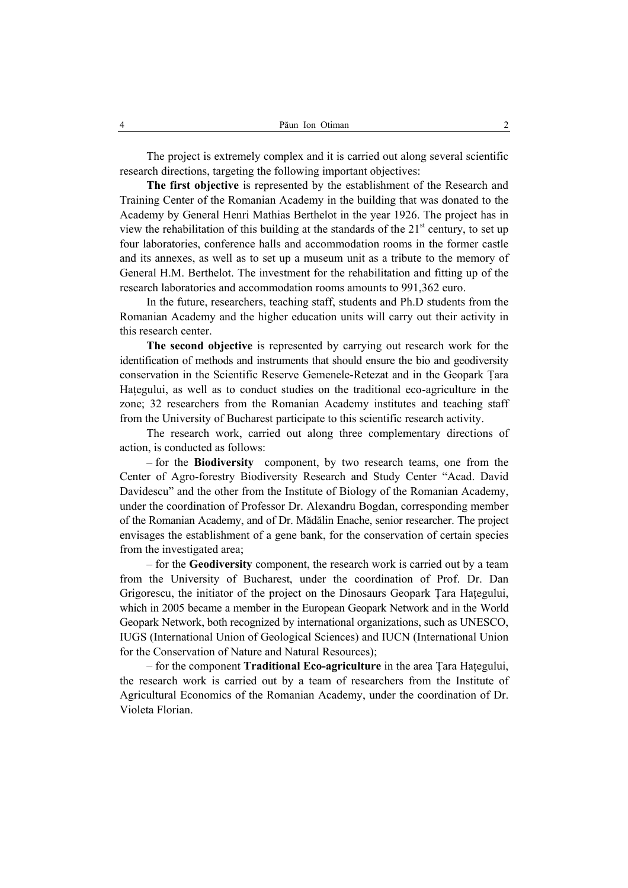The project is extremely complex and it is carried out along several scientific research directions, targeting the following important objectives:

**The first objective** is represented by the establishment of the Research and Training Center of the Romanian Academy in the building that was donated to the Academy by General Henri Mathias Berthelot in the year 1926. The project has in view the rehabilitation of this building at the standards of the  $21<sup>st</sup>$  century, to set up four laboratories, conference halls and accommodation rooms in the former castle and its annexes, as well as to set up a museum unit as a tribute to the memory of General H.M. Berthelot. The investment for the rehabilitation and fitting up of the research laboratories and accommodation rooms amounts to 991,362 euro.

In the future, researchers, teaching staff, students and Ph.D students from the Romanian Academy and the higher education units will carry out their activity in this research center.

**The second objective** is represented by carrying out research work for the identification of methods and instruments that should ensure the bio and geodiversity conservation in the Scientific Reserve Gemenele-Retezat and in the Geopark Ţara Hategului, as well as to conduct studies on the traditional eco-agriculture in the zone; 32 researchers from the Romanian Academy institutes and teaching staff from the University of Bucharest participate to this scientific research activity.

The research work, carried out along three complementary directions of action, is conducted as follows:

– for the **Biodiversity** component, by two research teams, one from the Center of Agro-forestry Biodiversity Research and Study Center "Acad. David Davidescu" and the other from the Institute of Biology of the Romanian Academy, under the coordination of Professor Dr. Alexandru Bogdan, corresponding member of the Romanian Academy, and of Dr. Mădălin Enache, senior researcher. The project envisages the establishment of a gene bank, for the conservation of certain species from the investigated area;

– for the **Geodiversity** component, the research work is carried out by a team from the University of Bucharest, under the coordination of Prof. Dr. Dan Grigorescu, the initiator of the project on the Dinosaurs Geopark Ţara Haţegului, which in 2005 became a member in the European Geopark Network and in the World Geopark Network, both recognized by international organizations, such as UNESCO, IUGS (International Union of Geological Sciences) and IUCN (International Union for the Conservation of Nature and Natural Resources);

– for the component **Traditional Eco-agriculture** in the area Ţara Haţegului, the research work is carried out by a team of researchers from the Institute of Agricultural Economics of the Romanian Academy, under the coordination of Dr. Violeta Florian.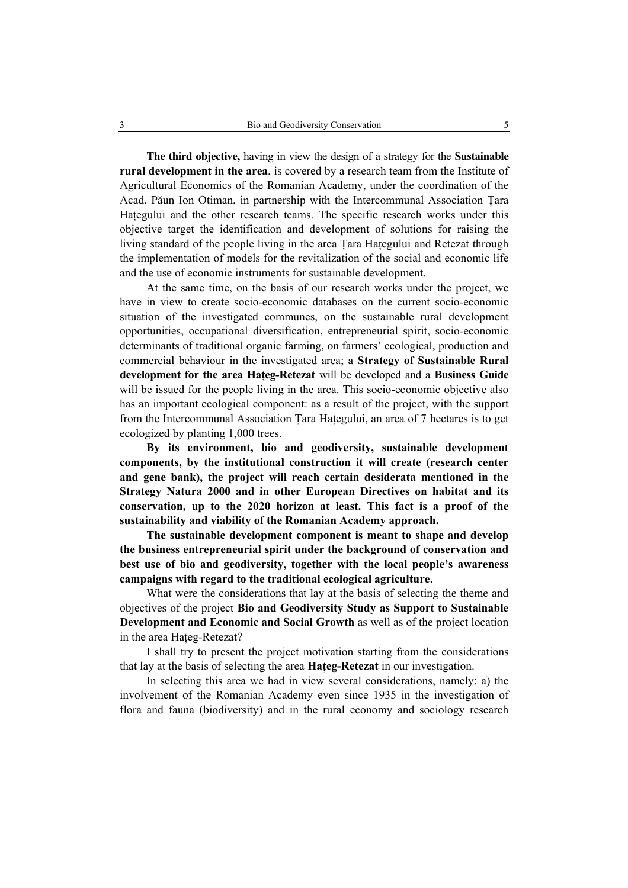**The third objective,** having in view the design of a strategy for the **Sustainable rural development in the area**, is covered by a research team from the Institute of Agricultural Economics of the Romanian Academy, under the coordination of the Acad. Păun Ion Otiman, in partnership with the Intercommunal Association Ţara Hategului and the other research teams. The specific research works under this objective target the identification and development of solutions for raising the living standard of the people living in the area Ţara Haţegului and Retezat through the implementation of models for the revitalization of the social and economic life and the use of economic instruments for sustainable development.

At the same time, on the basis of our research works under the project, we have in view to create socio-economic databases on the current socio-economic situation of the investigated communes, on the sustainable rural development opportunities, occupational diversification, entrepreneurial spirit, socio-economic determinants of traditional organic farming, on farmers' ecological, production and commercial behaviour in the investigated area; a **Strategy of Sustainable Rural development for the area Haţeg-Retezat** will be developed and a **Business Guide**  will be issued for the people living in the area. This socio-economic objective also has an important ecological component: as a result of the project, with the support from the Intercommunal Association Ţara Haţegului, an area of 7 hectares is to get ecologized by planting 1,000 trees.

**By its environment, bio and geodiversity, sustainable development components, by the institutional construction it will create (research center and gene bank), the project will reach certain desiderata mentioned in the Strategy Natura 2000 and in other European Directives on habitat and its conservation, up to the 2020 horizon at least. This fact is a proof of the sustainability and viability of the Romanian Academy approach.** 

**The sustainable development component is meant to shape and develop the business entrepreneurial spirit under the background of conservation and best use of bio and geodiversity, together with the local people's awareness campaigns with regard to the traditional ecological agriculture.** 

What were the considerations that lay at the basis of selecting the theme and objectives of the project **Bio and Geodiversity Study as Support to Sustainable Development and Economic and Social Growth** as well as of the project location in the area Hateg-Retezat?

I shall try to present the project motivation starting from the considerations that lay at the basis of selecting the area **Haţeg-Retezat** in our investigation.

In selecting this area we had in view several considerations, namely: a) the involvement of the Romanian Academy even since 1935 in the investigation of flora and fauna (biodiversity) and in the rural economy and sociology research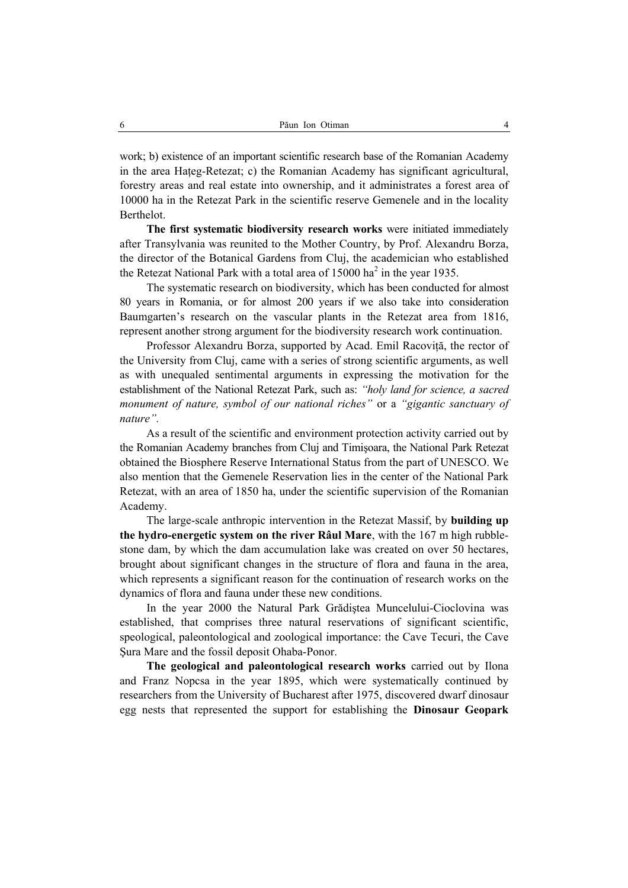work; b) existence of an important scientific research base of the Romanian Academy in the area Hateg-Retezat; c) the Romanian Academy has significant agricultural, forestry areas and real estate into ownership, and it administrates a forest area of 10000 ha in the Retezat Park in the scientific reserve Gemenele and in the locality Berthelot.

**The first systematic biodiversity research works** were initiated immediately after Transylvania was reunited to the Mother Country, by Prof. Alexandru Borza, the director of the Botanical Gardens from Cluj, the academician who established the Retezat National Park with a total area of  $15000$  ha<sup>2</sup> in the year 1935.

The systematic research on biodiversity, which has been conducted for almost 80 years in Romania, or for almost 200 years if we also take into consideration Baumgarten's research on the vascular plants in the Retezat area from 1816, represent another strong argument for the biodiversity research work continuation.

Professor Alexandru Borza, supported by Acad. Emil Racovită, the rector of the University from Cluj, came with a series of strong scientific arguments, as well as with unequaled sentimental arguments in expressing the motivation for the establishment of the National Retezat Park, such as: *"holy land for science, a sacred monument of nature, symbol of our national riches"* or a *"gigantic sanctuary of nature".*

As a result of the scientific and environment protection activity carried out by the Romanian Academy branches from Cluj and Timişoara, the National Park Retezat obtained the Biosphere Reserve International Status from the part of UNESCO. We also mention that the Gemenele Reservation lies in the center of the National Park Retezat, with an area of 1850 ha, under the scientific supervision of the Romanian Academy.

The large-scale anthropic intervention in the Retezat Massif, by **building up the hydro-energetic system on the river Râul Mare**, with the 167 m high rubblestone dam, by which the dam accumulation lake was created on over 50 hectares, brought about significant changes in the structure of flora and fauna in the area, which represents a significant reason for the continuation of research works on the dynamics of flora and fauna under these new conditions.

In the year 2000 the Natural Park Grădiştea Muncelului-Cioclovina was established, that comprises three natural reservations of significant scientific, speological, paleontological and zoological importance: the Cave Tecuri, the Cave Şura Mare and the fossil deposit Ohaba-Ponor.

**The geological and paleontological research works** carried out by Ilona and Franz Nopcsa in the year 1895, which were systematically continued by researchers from the University of Bucharest after 1975, discovered dwarf dinosaur egg nests that represented the support for establishing the **Dinosaur Geopark**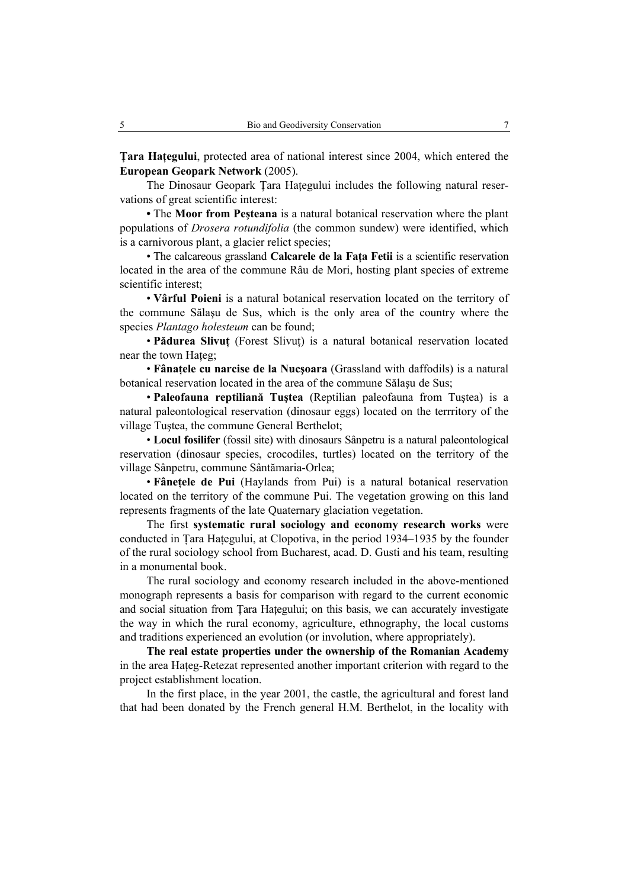**Tara Hategului**, protected area of national interest since 2004, which entered the **European Geopark Network** (2005).

The Dinosaur Geopark Tara Hategului includes the following natural reservations of great scientific interest:

**•** The **Moor from Peşteana** is a natural botanical reservation where the plant populations of *Drosera rotundifolia* (the common sundew) were identified, which is a carnivorous plant, a glacier relict species;

• The calcareous grassland **Calcarele de la Faţa Fetii** is a scientific reservation located in the area of the commune Râu de Mori, hosting plant species of extreme scientific interest:

• **Vârful Poieni** is a natural botanical reservation located on the territory of the commune Sălaşu de Sus, which is the only area of the country where the species *Plantago holesteum* can be found;

• **Pădurea Slivut** (Forest Slivut) is a natural botanical reservation located near the town Hateg:

• **Fânaţele cu narcise de la Nucşoara** (Grassland with daffodils) is a natural botanical reservation located in the area of the commune Sălaşu de Sus;

• **Paleofauna reptiliană Tuştea** (Reptilian paleofauna from Tuştea) is a natural paleontological reservation (dinosaur eggs) located on the terrritory of the village Tuştea, the commune General Berthelot;

• **Locul fosilifer** (fossil site) with dinosaurs Sânpetru is a natural paleontological reservation (dinosaur species, crocodiles, turtles) located on the territory of the village Sânpetru, commune Sântămaria-Orlea;

• **Fânetele de Pui** (Haylands from Pui) is a natural botanical reservation located on the territory of the commune Pui. The vegetation growing on this land represents fragments of the late Quaternary glaciation vegetation.

The first **systematic rural sociology and economy research works** were conducted in Tara Hategului, at Clopotiva, in the period 1934–1935 by the founder of the rural sociology school from Bucharest, acad. D. Gusti and his team, resulting in a monumental book.

The rural sociology and economy research included in the above-mentioned monograph represents a basis for comparison with regard to the current economic and social situation from Tara Hategului; on this basis, we can accurately investigate the way in which the rural economy, agriculture, ethnography, the local customs and traditions experienced an evolution (or involution, where appropriately).

**The real estate properties under the ownership of the Romanian Academy**  in the area Hateg-Retezat represented another important criterion with regard to the project establishment location.

In the first place, in the year 2001, the castle, the agricultural and forest land that had been donated by the French general H.M. Berthelot, in the locality with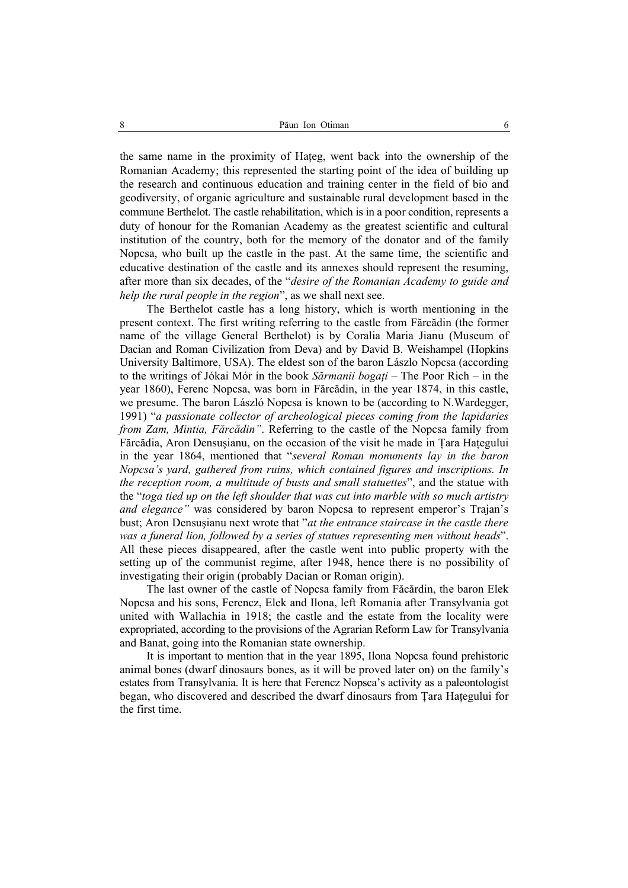the same name in the proximity of Hateg, went back into the ownership of the Romanian Academy; this represented the starting point of the idea of building up the research and continuous education and training center in the field of bio and geodiversity, of organic agriculture and sustainable rural development based in the commune Berthelot. The castle rehabilitation, which is in a poor condition, represents a duty of honour for the Romanian Academy as the greatest scientific and cultural institution of the country, both for the memory of the donator and of the family Nopcsa, who built up the castle in the past. At the same time, the scientific and educative destination of the castle and its annexes should represent the resuming, after more than six decades, of the "*desire of the Romanian Academy to guide and help the rural people in the region*", as we shall next see.

The Berthelot castle has a long history, which is worth mentioning in the present context. The first writing referring to the castle from Fărcădin (the former name of the village General Berthelot) is by Coralia Maria Jianu (Museum of Dacian and Roman Civilization from Deva) and by David B. Weishampel (Hopkins University Baltimore, USA). The eldest son of the baron Lászlo Nopcsa (according to the writings of Jókai Mór in the book *Sărmanii bogaţi* – The Poor Rich – in the year 1860), Ferenc Nopcsa, was born in Fărcădin, in the year 1874, in this castle, we presume. The baron László Nopcsa is known to be (according to N.Wardegger, 1991) "*a passionate collector of archeological pieces coming from the lapidaries from Zam, Mintia, Fărcădin"*. Referring to the castle of the Nopcsa family from Fărcădia, Aron Densuşianu, on the occasion of the visit he made in Ţara Haţegului in the year 1864, mentioned that "*several Roman monuments lay in the baron Nopcsa's yard, gathered from ruins, which contained figures and inscriptions. In the reception room, a multitude of busts and small statuettes*", and the statue with the "*toga tied up on the left shoulder that was cut into marble with so much artistry and elegance"* was considered by baron Nopcsa to represent emperor's Trajan's bust; Aron Densuşianu next wrote that "*at the entrance staircase in the castle there was a funeral lion, followed by a series of statues representing men without heads*". All these pieces disappeared, after the castle went into public property with the setting up of the communist regime, after 1948, hence there is no possibility of investigating their origin (probably Dacian or Roman origin).

The last owner of the castle of Nopcsa family from Făcărdin, the baron Elek Nopcsa and his sons, Ferencz, Elek and Ilona, left Romania after Transylvania got united with Wallachia in 1918; the castle and the estate from the locality were expropriated, according to the provisions of the Agrarian Reform Law for Transylvania and Banat, going into the Romanian state ownership.

It is important to mention that in the year 1895, Ilona Nopcsa found prehistoric animal bones (dwarf dinosaurs bones, as it will be proved later on) on the family's estates from Transylvania. It is here that Ferencz Nopsca's activity as a paleontologist began, who discovered and described the dwarf dinosaurs from Ţara Haţegului for the first time.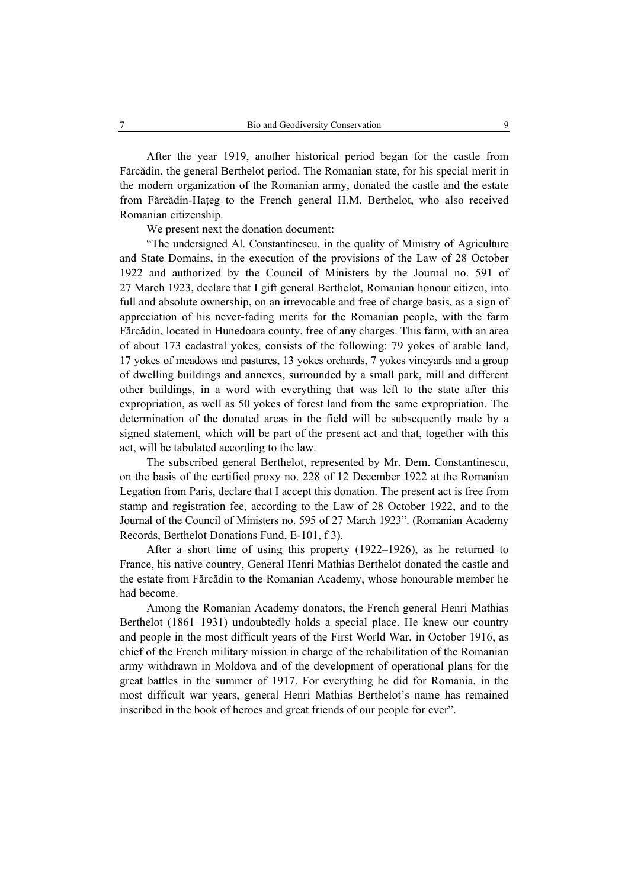After the year 1919, another historical period began for the castle from Fărcădin, the general Berthelot period. The Romanian state, for his special merit in the modern organization of the Romanian army, donated the castle and the estate from Fărcădin-Haţeg to the French general H.M. Berthelot, who also received Romanian citizenship.

We present next the donation document:

"The undersigned Al. Constantinescu, in the quality of Ministry of Agriculture and State Domains, in the execution of the provisions of the Law of 28 October 1922 and authorized by the Council of Ministers by the Journal no. 591 of 27 March 1923, declare that I gift general Berthelot, Romanian honour citizen, into full and absolute ownership, on an irrevocable and free of charge basis, as a sign of appreciation of his never-fading merits for the Romanian people, with the farm Fărcădin, located in Hunedoara county, free of any charges. This farm, with an area of about 173 cadastral yokes, consists of the following: 79 yokes of arable land, 17 yokes of meadows and pastures, 13 yokes orchards, 7 yokes vineyards and a group of dwelling buildings and annexes, surrounded by a small park, mill and different other buildings, in a word with everything that was left to the state after this expropriation, as well as 50 yokes of forest land from the same expropriation. The determination of the donated areas in the field will be subsequently made by a signed statement, which will be part of the present act and that, together with this act, will be tabulated according to the law.

The subscribed general Berthelot, represented by Mr. Dem. Constantinescu, on the basis of the certified proxy no. 228 of 12 December 1922 at the Romanian Legation from Paris, declare that I accept this donation. The present act is free from stamp and registration fee, according to the Law of 28 October 1922, and to the Journal of the Council of Ministers no. 595 of 27 March 1923". (Romanian Academy Records, Berthelot Donations Fund, E-101, f 3).

After a short time of using this property (1922–1926), as he returned to France, his native country, General Henri Mathias Berthelot donated the castle and the estate from Fărcădin to the Romanian Academy, whose honourable member he had become.

Among the Romanian Academy donators, the French general Henri Mathias Berthelot (1861–1931) undoubtedly holds a special place. He knew our country and people in the most difficult years of the First World War, in October 1916, as chief of the French military mission in charge of the rehabilitation of the Romanian army withdrawn in Moldova and of the development of operational plans for the great battles in the summer of 1917. For everything he did for Romania, in the most difficult war years, general Henri Mathias Berthelot's name has remained inscribed in the book of heroes and great friends of our people for ever".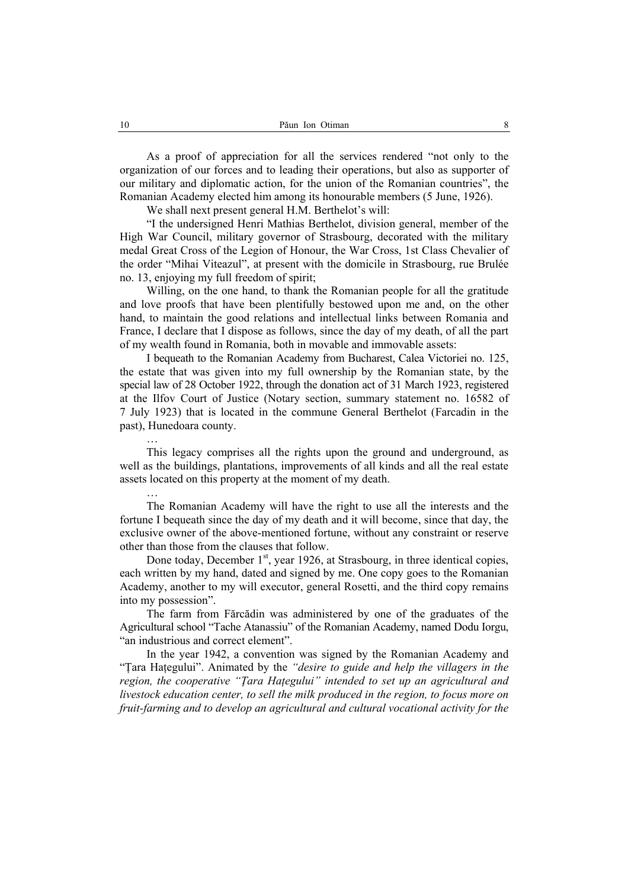As a proof of appreciation for all the services rendered "not only to the organization of our forces and to leading their operations, but also as supporter of our military and diplomatic action, for the union of the Romanian countries", the Romanian Academy elected him among its honourable members (5 June, 1926).

We shall next present general H.M. Berthelot's will:

"I the undersigned Henri Mathias Berthelot, division general, member of the High War Council, military governor of Strasbourg, decorated with the military medal Great Cross of the Legion of Honour, the War Cross, 1st Class Chevalier of the order "Mihai Viteazul", at present with the domicile in Strasbourg, rue Brulée no. 13, enjoying my full freedom of spirit;

Willing, on the one hand, to thank the Romanian people for all the gratitude and love proofs that have been plentifully bestowed upon me and, on the other hand, to maintain the good relations and intellectual links between Romania and France, I declare that I dispose as follows, since the day of my death, of all the part of my wealth found in Romania, both in movable and immovable assets:

I bequeath to the Romanian Academy from Bucharest, Calea Victoriei no. 125, the estate that was given into my full ownership by the Romanian state, by the special law of 28 October 1922, through the donation act of 31 March 1923, registered at the Ilfov Court of Justice (Notary section, summary statement no. 16582 of 7 July 1923) that is located in the commune General Berthelot (Farcadin in the past), Hunedoara county.

This legacy comprises all the rights upon the ground and underground, as well as the buildings, plantations, improvements of all kinds and all the real estate assets located on this property at the moment of my death.

The Romanian Academy will have the right to use all the interests and the fortune I bequeath since the day of my death and it will become, since that day, the exclusive owner of the above-mentioned fortune, without any constraint or reserve other than those from the clauses that follow.

Done today, December  $1<sup>st</sup>$ , year 1926, at Strasbourg, in three identical copies, each written by my hand, dated and signed by me. One copy goes to the Romanian Academy, another to my will executor, general Rosetti, and the third copy remains into my possession".

The farm from Fărcădin was administered by one of the graduates of the Agricultural school "Tache Atanassiu" of the Romanian Academy, named Dodu Iorgu, "an industrious and correct element".

In the year 1942, a convention was signed by the Romanian Academy and "Ţara Haţegului". Animated by the *"desire to guide and help the villagers in the region, the cooperative "Ţara Haţegului" intended to set up an agricultural and livestock education center, to sell the milk produced in the region, to focus more on fruit-farming and to develop an agricultural and cultural vocational activity for the* 

…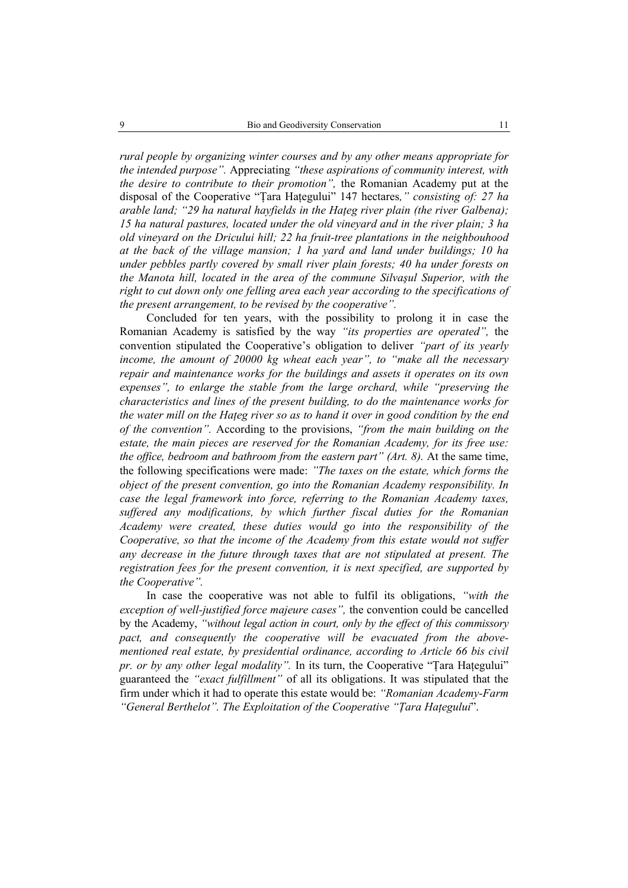*rural people by organizing winter courses and by any other means appropriate for the intended purpose".* Appreciating *"these aspirations of community interest, with the desire to contribute to their promotion",* the Romanian Academy put at the disposal of the Cooperative "Ţara Haţegului" 147 hectares*," consisting of: 27 ha arable land; "29 ha natural hayfields in the Haţeg river plain (the river Galbena); 15 ha natural pastures, located under the old vineyard and in the river plain; 3 ha old vineyard on the Dricului hill; 22 ha fruit-tree plantations in the neighbouhood at the back of the village mansion; 1 ha yard and land under buildings; 10 ha under pebbles partly covered by small river plain forests; 40 ha under forests on the Manota hill, located in the area of the commune Silvaşul Superior, with the right to cut down only one felling area each year according to the specifications of the present arrangement, to be revised by the cooperative".* 

Concluded for ten years, with the possibility to prolong it in case the Romanian Academy is satisfied by the way *"its properties are operated",* the convention stipulated the Cooperative's obligation to deliver *"part of its yearly income, the amount of 20000 kg wheat each year", to "make all the necessary repair and maintenance works for the buildings and assets it operates on its own expenses", to enlarge the stable from the large orchard, while "preserving the characteristics and lines of the present building, to do the maintenance works for the water mill on the Haţeg river so as to hand it over in good condition by the end of the convention".* According to the provisions, *"from the main building on the estate, the main pieces are reserved for the Romanian Academy, for its free use: the office, bedroom and bathroom from the eastern part" (Art. 8).* At the same time, the following specifications were made: *"The taxes on the estate, which forms the object of the present convention, go into the Romanian Academy responsibility. In case the legal framework into force, referring to the Romanian Academy taxes, suffered any modifications, by which further fiscal duties for the Romanian Academy were created, these duties would go into the responsibility of the Cooperative, so that the income of the Academy from this estate would not suffer any decrease in the future through taxes that are not stipulated at present. The registration fees for the present convention, it is next specified, are supported by the Cooperative".* 

In case the cooperative was not able to fulfil its obligations, *"with the exception of well-justified force majeure cases",* the convention could be cancelled by the Academy, *"without legal action in court, only by the effect of this commissory pact, and consequently the cooperative will be evacuated from the abovementioned real estate, by presidential ordinance, according to Article 66 bis civil pr. or by any other legal modality*". In its turn, the Cooperative "Tara Hategului" guaranteed the *"exact fulfillment"* of all its obligations. It was stipulated that the firm under which it had to operate this estate would be: *"Romanian Academy-Farm "General Berthelot". The Exploitation of the Cooperative "Ţara Haţegului*".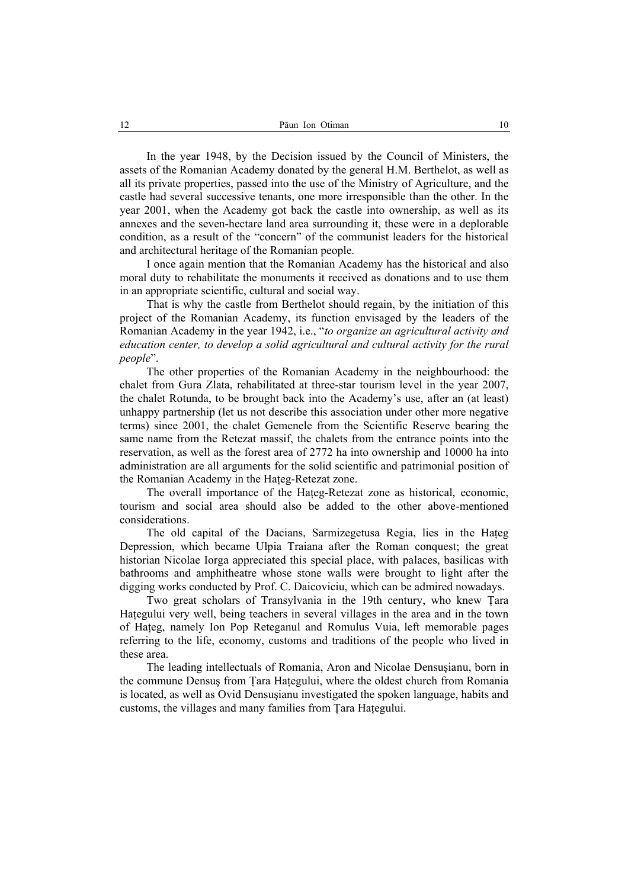In the year 1948, by the Decision issued by the Council of Ministers, the assets of the Romanian Academy donated by the general H.M. Berthelot, as well as all its private properties, passed into the use of the Ministry of Agriculture, and the castle had several successive tenants, one more irresponsible than the other. In the year 2001, when the Academy got back the castle into ownership, as well as its annexes and the seven-hectare land area surrounding it, these were in a deplorable condition, as a result of the "concern" of the communist leaders for the historical and architectural heritage of the Romanian people.

I once again mention that the Romanian Academy has the historical and also moral duty to rehabilitate the monuments it received as donations and to use them in an appropriate scientific, cultural and social way.

That is why the castle from Berthelot should regain, by the initiation of this project of the Romanian Academy, its function envisaged by the leaders of the Romanian Academy in the year 1942, i.e., "*to organize an agricultural activity and education center, to develop a solid agricultural and cultural activity for the rural people*".

The other properties of the Romanian Academy in the neighbourhood: the chalet from Gura Zlata, rehabilitated at three-star tourism level in the year 2007, the chalet Rotunda, to be brought back into the Academy's use, after an (at least) unhappy partnership (let us not describe this association under other more negative terms) since 2001, the chalet Gemenele from the Scientific Reserve bearing the same name from the Retezat massif, the chalets from the entrance points into the reservation, as well as the forest area of 2772 ha into ownership and 10000 ha into administration are all arguments for the solid scientific and patrimonial position of the Romanian Academy in the Hateg-Retezat zone.

The overall importance of the Hateg-Retezat zone as historical, economic, tourism and social area should also be added to the other above-mentioned considerations.

The old capital of the Dacians, Sarmizegetusa Regia, lies in the Haţeg Depression, which became Ulpia Traiana after the Roman conquest; the great historian Nicolae Iorga appreciated this special place, with palaces, basilicas with bathrooms and amphitheatre whose stone walls were brought to light after the digging works conducted by Prof. C. Daicoviciu, which can be admired nowadays.

Two great scholars of Transylvania in the 19th century, who knew Ţara Hategului very well, being teachers in several villages in the area and in the town of Haţeg, namely Ion Pop Reteganul and Romulus Vuia, left memorable pages referring to the life, economy, customs and traditions of the people who lived in these area.

The leading intellectuals of Romania, Aron and Nicolae Densuşianu, born in the commune Densuş from Ţara Haţegului, where the oldest church from Romania is located, as well as Ovid Densuşianu investigated the spoken language, habits and customs, the villages and many families from Ţara Haţegului.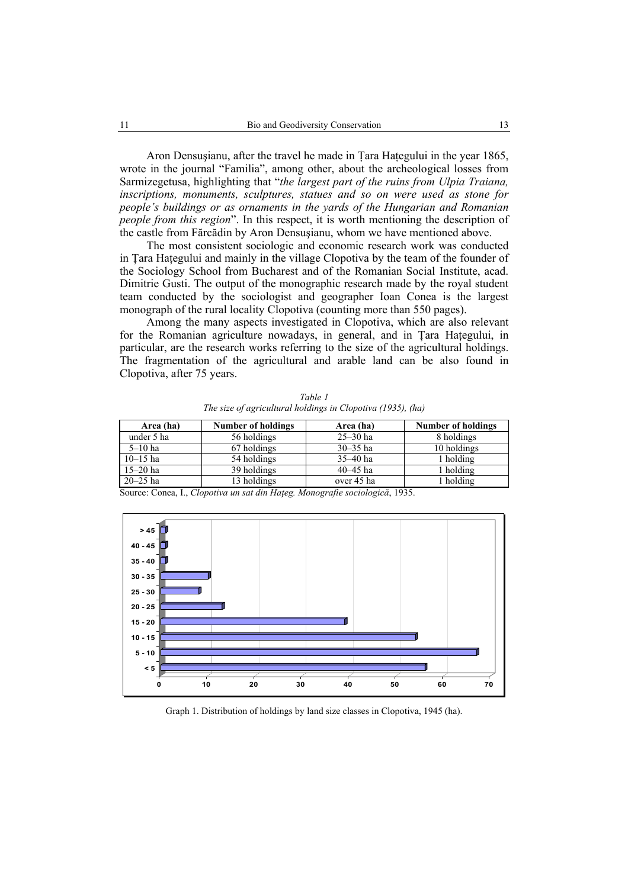Aron Densuşianu, after the travel he made in Ţara Haţegului in the year 1865, wrote in the journal "Familia", among other, about the archeological losses from Sarmizegetusa, highlighting that "*the largest part of the ruins from Ulpia Traiana, inscriptions, monuments, sculptures, statues and so on were used as stone for people's buildings or as ornaments in the yards of the Hungarian and Romanian people from this region*". In this respect, it is worth mentioning the description of the castle from Fărcădin by Aron Densuşianu, whom we have mentioned above.

The most consistent sociologic and economic research work was conducted in Ţara Haţegului and mainly in the village Clopotiva by the team of the founder of the Sociology School from Bucharest and of the Romanian Social Institute, acad. Dimitrie Gusti. The output of the monographic research made by the royal student team conducted by the sociologist and geographer Ioan Conea is the largest monograph of the rural locality Clopotiva (counting more than 550 pages).

Among the many aspects investigated in Clopotiva, which are also relevant for the Romanian agriculture nowadays, in general, and in Ţara Haţegului, in particular, are the research works referring to the size of the agricultural holdings. The fragmentation of the agricultural and arable land can be also found in Clopotiva, after 75 years.

| Area (ha)    | <b>Number of holdings</b> | Area (ha)    | <b>Number of holdings</b> |
|--------------|---------------------------|--------------|---------------------------|
| under 5 ha   | 56 holdings               | $25 - 30$ ha | 8 holdings                |
| $5-10$ ha    | 67 holdings               | $30 - 35$ ha | 10 holdings               |
| $10 - 15$ ha | 54 holdings               | $35 - 40$ ha | 1 holding                 |
| $15 - 20$ ha | 39 holdings               | $40 - 45$ ha | l holding                 |
| $20 - 25$ ha | 13 holdings               | over 45 ha   | holding                   |

*Table 1 The size of agricultural holdings in Clopotiva (1935), (ha)* 

Source: Conea, I., *Clopotiva un sat din Haţeg. Monografie sociologică*, 1935.



Graph 1. Distribution of holdings by land size classes in Clopotiva, 1945 (ha).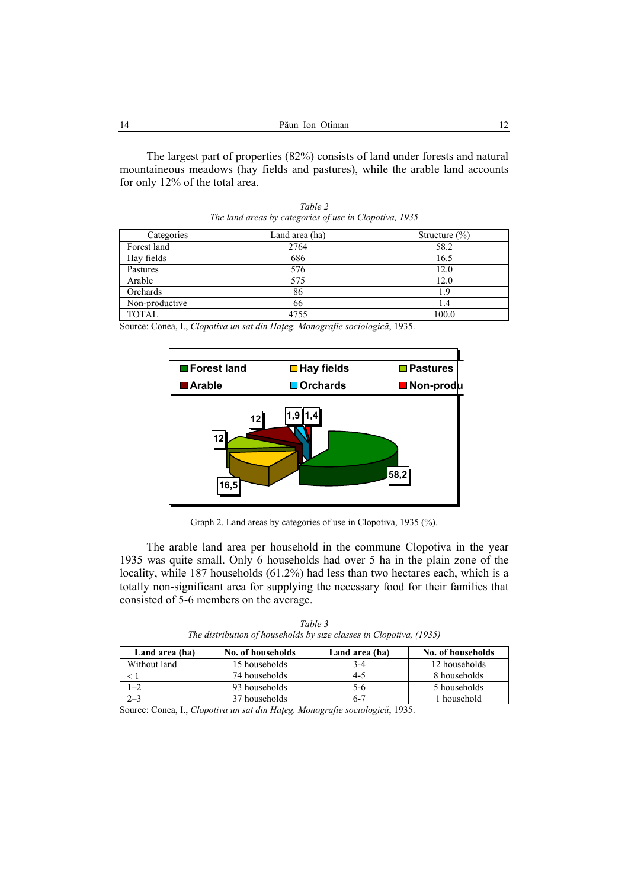The largest part of properties (82%) consists of land under forests and natural mountaineous meadows (hay fields and pastures), while the arable land accounts for only 12% of the total area.

| Categories     | Land area (ha) | Structure $(\% )$ |
|----------------|----------------|-------------------|
| Forest land    | 2764           | 58.2              |
| Hay fields     | 686            | 16.5              |
| Pastures       | 576            | 12.0              |
| Arable         | 575            | 12.0              |
| Orchards       | 86             | 1.9               |
| Non-productive | 66             |                   |
| <b>TOTAL</b>   | 4755           | 100.0             |

*Table 2 The land areas by categories of use in Clopotiva, 1935* 

Source: Conea, I., *Clopotiva un sat din Haţeg. Monografie sociologică*, 1935.



Graph 2. Land areas by categories of use in Clopotiva, 1935 (%).

The arable land area per household in the commune Clopotiva in the year 1935 was quite small. Only 6 households had over 5 ha in the plain zone of the locality, while 187 households (61.2%) had less than two hectares each, which is a totally non-significant area for supplying the necessary food for their families that consisted of 5-6 members on the average.

| Land area (ha) | No. of households | Land area (ha) | No. of households |
|----------------|-------------------|----------------|-------------------|
| Without land   | 15 households     | 3-4            | 12 households     |
|                | 74 households     | 4-5            | 8 households      |
|                | 93 households     | 5-6            | 5 households      |
| $2 - 3$        | 37 households     | $6 - 7$        | l household       |

*Table 3 The distribution of households by size classes in Clopotiva, (1935)* 

Source: Conea, I., *Clopotiva un sat din Haţeg. Monografie sociologică*, 1935.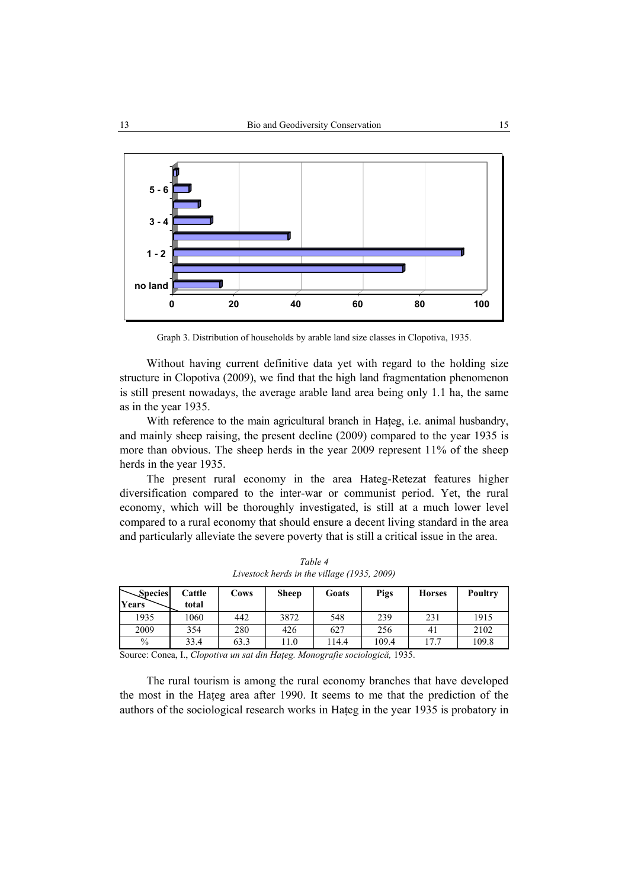

Graph 3. Distribution of households by arable land size classes in Clopotiva, 1935.

Without having current definitive data yet with regard to the holding size structure in Clopotiva (2009), we find that the high land fragmentation phenomenon is still present nowadays, the average arable land area being only 1.1 ha, the same as in the year 1935.

With reference to the main agricultural branch in Hateg, i.e. animal husbandry, and mainly sheep raising, the present decline (2009) compared to the year 1935 is more than obvious. The sheep herds in the year 2009 represent 11% of the sheep herds in the year 1935.

The present rural economy in the area Hateg-Retezat features higher diversification compared to the inter-war or communist period. Yet, the rural economy, which will be thoroughly investigated, is still at a much lower level compared to a rural economy that should ensure a decent living standard in the area and particularly alleviate the severe poverty that is still a critical issue in the area.

| Species          | Cattle | Cows | <b>Sheep</b>  | Goats  | <b>Pigs</b> | <b>Horses</b> | Poultry |
|------------------|--------|------|---------------|--------|-------------|---------------|---------|
| Years            | total  |      |               |        |             |               |         |
| 1935             | 1060   | 442  | 3872          | 548    | 239         | 231           | 1915    |
| 2009             | 354    | 280  | 426           | 627    | 256         | 41            | 2102    |
| $\frac{0}{0}$    | 33.4   | 63.3 | 11.0          | 14.4   | 109.4       | 17.7          | 109.8   |
| $\sim$<br>$\sim$ | $ -$   |      | $\sim$ $\sim$ | $\sim$ |             |               |         |

*Table 4 Livestock herds in the village (1935, 2009)* 

Source: Conea, I., *Clopotiva un sat din Haţeg. Monografie sociologică,* 1935.

The rural tourism is among the rural economy branches that have developed the most in the Haţeg area after 1990. It seems to me that the prediction of the authors of the sociological research works in Haţeg in the year 1935 is probatory in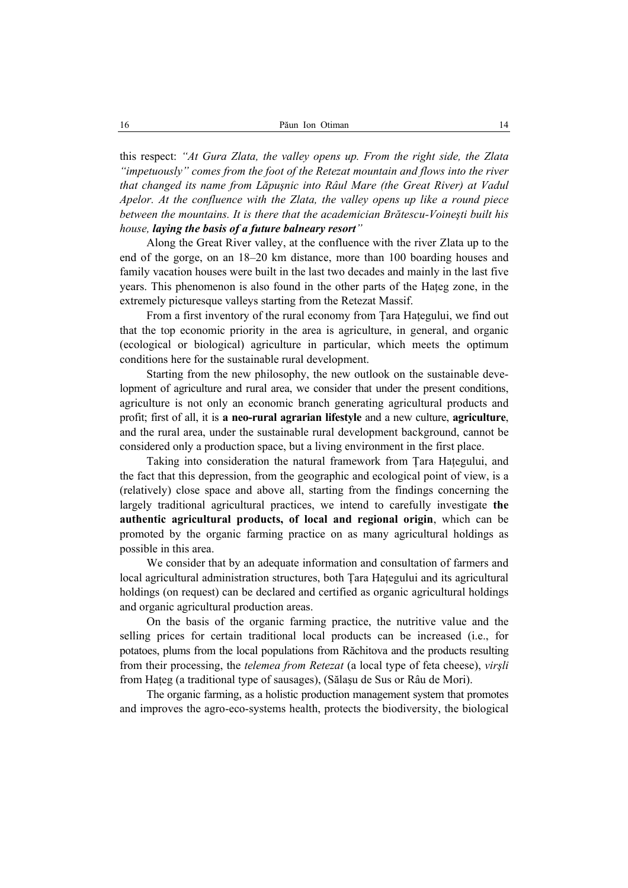this respect: *"At Gura Zlata, the valley opens up. From the right side, the Zlata "impetuously" comes from the foot of the Retezat mountain and flows into the river that changed its name from Lăpuşnic into Râul Mare (the Great River) at Vadul Apelor. At the confluence with the Zlata, the valley opens up like a round piece between the mountains. It is there that the academician Brătescu-Voineşti built his house, laying the basis of a future balneary resort"*

Along the Great River valley, at the confluence with the river Zlata up to the end of the gorge, on an 18–20 km distance, more than 100 boarding houses and family vacation houses were built in the last two decades and mainly in the last five years. This phenomenon is also found in the other parts of the Hateg zone, in the extremely picturesque valleys starting from the Retezat Massif.

From a first inventory of the rural economy from Ţara Haţegului, we find out that the top economic priority in the area is agriculture, in general, and organic (ecological or biological) agriculture in particular, which meets the optimum conditions here for the sustainable rural development.

Starting from the new philosophy, the new outlook on the sustainable development of agriculture and rural area, we consider that under the present conditions, agriculture is not only an economic branch generating agricultural products and profit; first of all, it is **a neo-rural agrarian lifestyle** and a new culture, **agriculture**, and the rural area, under the sustainable rural development background, cannot be considered only a production space, but a living environment in the first place.

Taking into consideration the natural framework from Tara Hategului, and the fact that this depression, from the geographic and ecological point of view, is a (relatively) close space and above all, starting from the findings concerning the largely traditional agricultural practices, we intend to carefully investigate **the authentic agricultural products, of local and regional origin**, which can be promoted by the organic farming practice on as many agricultural holdings as possible in this area.

We consider that by an adequate information and consultation of farmers and local agricultural administration structures, both Tara Hategului and its agricultural holdings (on request) can be declared and certified as organic agricultural holdings and organic agricultural production areas.

On the basis of the organic farming practice, the nutritive value and the selling prices for certain traditional local products can be increased (i.e., for potatoes, plums from the local populations from Răchitova and the products resulting from their processing, the *telemea from Retezat* (a local type of feta cheese), *virşli* from Haţeg (a traditional type of sausages), (Sălaşu de Sus or Râu de Mori).

The organic farming, as a holistic production management system that promotes and improves the agro-eco-systems health, protects the biodiversity, the biological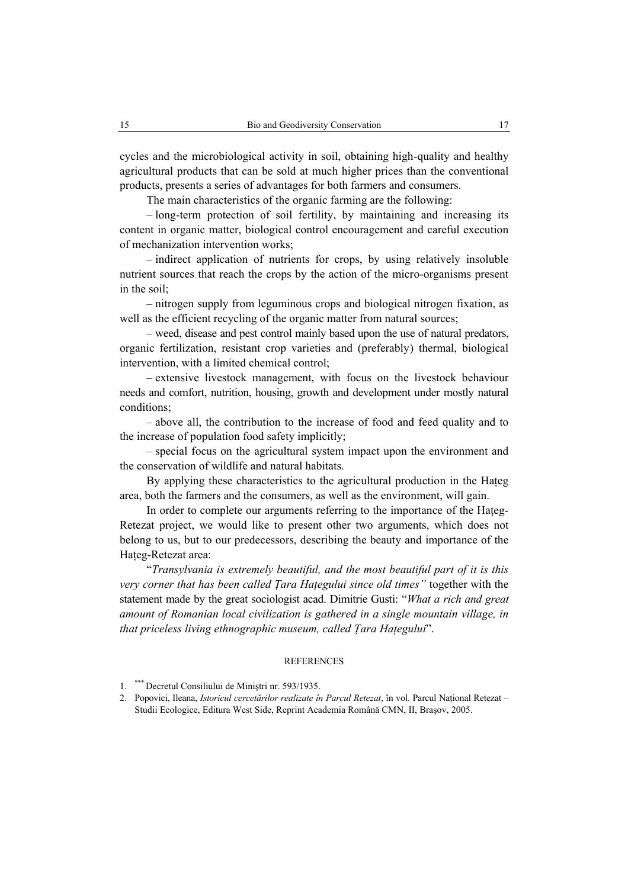cycles and the microbiological activity in soil, obtaining high-quality and healthy agricultural products that can be sold at much higher prices than the conventional products, presents a series of advantages for both farmers and consumers.

The main characteristics of the organic farming are the following:

– long-term protection of soil fertility, by maintaining and increasing its content in organic matter, biological control encouragement and careful execution of mechanization intervention works;

– indirect application of nutrients for crops, by using relatively insoluble nutrient sources that reach the crops by the action of the micro-organisms present in the soil;

– nitrogen supply from leguminous crops and biological nitrogen fixation, as well as the efficient recycling of the organic matter from natural sources;

– weed, disease and pest control mainly based upon the use of natural predators, organic fertilization, resistant crop varieties and (preferably) thermal, biological intervention, with a limited chemical control;

– extensive livestock management, with focus on the livestock behaviour needs and comfort, nutrition, housing, growth and development under mostly natural conditions;

– above all, the contribution to the increase of food and feed quality and to the increase of population food safety implicitly;

– special focus on the agricultural system impact upon the environment and the conservation of wildlife and natural habitats.

By applying these characteristics to the agricultural production in the Hateg area, both the farmers and the consumers, as well as the environment, will gain.

In order to complete our arguments referring to the importance of the Hateg-Retezat project, we would like to present other two arguments, which does not belong to us, but to our predecessors, describing the beauty and importance of the Hateg-Retezat area:

"*Transylvania is extremely beautiful, and the most beautiful part of it is this very corner that has been called Tara Hategului since old times*" together with the statement made by the great sociologist acad. Dimitrie Gusti: "*What a rich and great amount of Romanian local civilization is gathered in a single mountain village, in that priceless living ethnographic museum, called Ţara Haţegului*".

## **REFERENCES**

<sup>1.</sup> \*\*\* Decretul Consiliului de Miniştri nr. 593/1935.

<sup>2.</sup> Popovici, Ileana, *Istoricul cercetărilor realizate în Parcul Retezat*, în vol. Parcul Naţional Retezat – Studii Ecologice, Editura West Side, Reprint Academia Română CMN, II, Braşov, 2005.